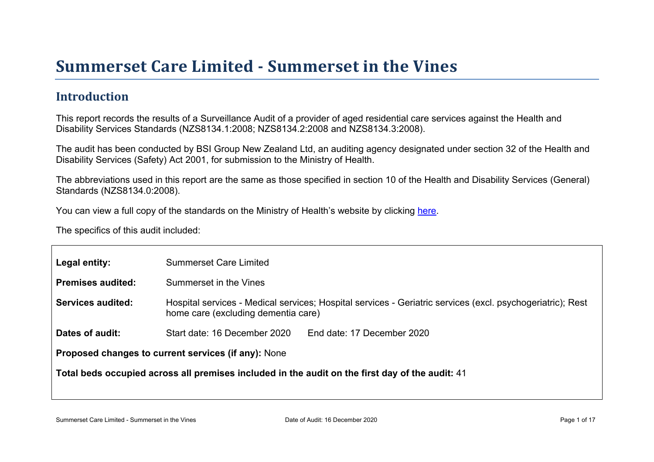# Summer set Car e Limited - Summer set in the Vines

### Introduction

This report records the results of a Surveillance Audit of a provider of aged residential care services against the Health and Disability Services Standards (NZS8134.1:2008; NZS8134.2:2008 and NZS8134.3:2008).

The audit has been conducted by BSI Group New Zealand Ltd, an auditing agency designated under section 32 of the Health and Disability Services (Safety) Act 2001, for submission to the Ministry of Health.

The abbreviations used in this report are the same as those specified in section 10 of the Health and Disability Services (General) Standards (NZS8134.0:2008).

You can view a full copy of the standards on the Ministry of Health's website by clicking [here.](http://www.health.govt.nz/our-work/regulation-health-and-disability-system/certification-health-care-services/health-and-disability-services-standards)

The specifics of this audit included:

| Legal entity:                                          | <b>Summerset Care Limited</b>                                                                                                                     |  |  |
|--------------------------------------------------------|---------------------------------------------------------------------------------------------------------------------------------------------------|--|--|
| Premises audited:                                      | Summerset in the Vines                                                                                                                            |  |  |
| Services audited:                                      | Hospital services - Medical services; Hospital services - Geriatric services (excl. psychogeriatric); Rest<br>home care (excluding dementia care) |  |  |
| Dates of audit:                                        | Start date: 16 December 2020<br>End date: 17 December 2020                                                                                        |  |  |
| services (if any): None<br>Proposed changes to current |                                                                                                                                                   |  |  |
|                                                        | Total beds occupied across all premises included<br>in the audit on the first day of the audit: 41                                                |  |  |
|                                                        |                                                                                                                                                   |  |  |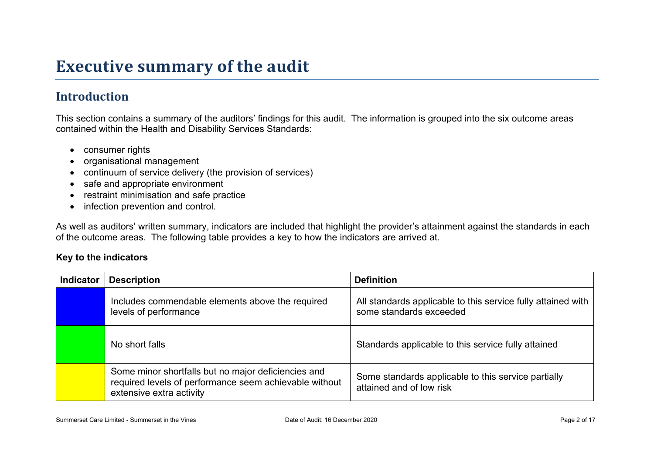## **Executive summary of the audit**

## **Introduction**

This section contains a summary of the auditors' findings for this audit. The information is grouped into the six outcome areas contained within the Health and Disability Services Standards:

- consumer rights
- organisational management
- continuum of service delivery (the provision of services)
- safe and appropriate environment
- restraint minimisation and safe practice
- infection prevention and control.

As well as auditors' written summary, indicators are included that highlight the provider's attainment against the standards in each of the outcome areas. The following table provides a key to how the indicators are arrived at.

#### **Key to the indicators**

| <b>Indicator</b> | <b>Description</b>                                                                                                                        | <b>Definition</b>                                                                       |
|------------------|-------------------------------------------------------------------------------------------------------------------------------------------|-----------------------------------------------------------------------------------------|
|                  | Includes commendable elements above the required<br>levels of performance                                                                 | All standards applicable to this service fully attained with<br>some standards exceeded |
|                  | No short falls                                                                                                                            | Standards applicable to this service fully attained                                     |
|                  | Some minor shortfalls but no major deficiencies and<br>required levels of performance seem achievable without<br>extensive extra activity | Some standards applicable to this service partially<br>attained and of low risk         |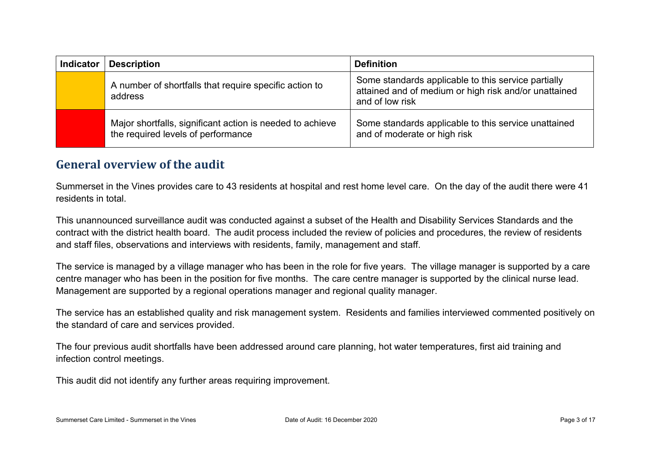| <b>Indicator</b> | <b>Description</b>                                                                              | <b>Definition</b>                                                                                                               |
|------------------|-------------------------------------------------------------------------------------------------|---------------------------------------------------------------------------------------------------------------------------------|
|                  | A number of shortfalls that require specific action to<br>address                               | Some standards applicable to this service partially<br>attained and of medium or high risk and/or unattained<br>and of low risk |
|                  | Major shortfalls, significant action is needed to achieve<br>the required levels of performance | Some standards applicable to this service unattained<br>and of moderate or high risk                                            |

### **General overview of the audit**

Summerset in the Vines provides care to 43 residents at hospital and rest home level care. On the day of the audit there were 41 residents in total.

This unannounced surveillance audit was conducted against a subset of the Health and Disability Services Standards and the contract with the district health board. The audit process included the review of policies and procedures, the review of residents and staff files, observations and interviews with residents, family, management and staff.

The service is managed by a village manager who has been in the role for five years. The village manager is supported by a care centre manager who has been in the position for five months. The care centre manager is supported by the clinical nurse lead. Management are supported by a regional operations manager and regional quality manager.

The service has an established quality and risk management system. Residents and families interviewed commented positively on the standard of care and services provided.

The four previous audit shortfalls have been addressed around care planning, hot water temperatures, first aid training and infection control meetings.

This audit did not identify any further areas requiring improvement.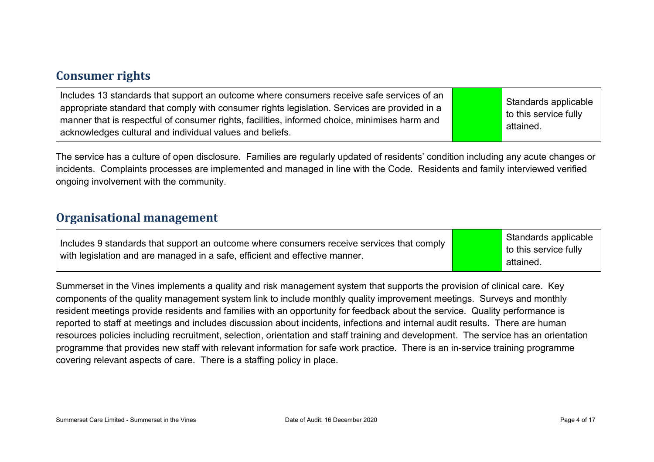### **Consumer rights**

The service has a culture of open disclosure. Families are regularly updated of residents' condition including any acute changes or incidents. Complaints processes are implemented and managed in line with the Code. Residents and family interviewed verified ongoing involvement with the community.

#### **Organisational management**

| Includes 9 standards that support an outcome where consumers receive services that comply | <b>S</b> tan |
|-------------------------------------------------------------------------------------------|--------------|
| with legislation and are managed in a safe, efficient and effective manner.               | to thi       |
|                                                                                           | attair       |

dards applicable is service fully attained.

Summerset in the Vines implements a quality and risk management system that supports the provision of clinical care. Key components of the quality management system link to include monthly quality improvement meetings. Surveys and monthly resident meetings provide residents and families with an opportunity for feedback about the service. Quality performance is reported to staff at meetings and includes discussion about incidents, infections and internal audit results. There are human resources policies including recruitment, selection, orientation and staff training and development. The service has an orientation programme that provides new staff with relevant information for safe work practice. There is an in-service training programme covering relevant aspects of care. There is a staffing policy in place.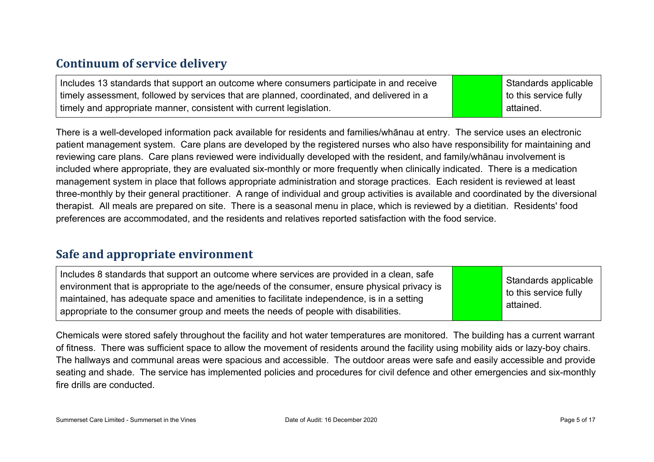### **Continuum of service delivery**

Includes 13 standards that support an outcome where consumers participate in and receive timely assessment, followed by services that are planned, coordinated, and delivered in a timely and appropriate manner, consistent with current legislation.

Standards applicable to this service fully attained.

There is a well-developed information pack available for residents and families/whānau at entry. The service uses an electronic patient management system. Care plans are developed by the registered nurses who also have responsibility for maintaining and reviewing care plans. Care plans reviewed were individually developed with the resident, and family/whānau involvement is included where appropriate, they are evaluated six-monthly or more frequently when clinically indicated. There is a medication management system in place that follows appropriate administration and storage practices. Each resident is reviewed at least three-monthly by their general practitioner. A range of individual and group activities is available and coordinated by the diversional therapist. All meals are prepared on site. There is a seasonal menu in place, which is reviewed by a dietitian. Residents' food preferences are accommodated, and the residents and relatives reported satisfaction with the food service.

### **Safe and appropriate environment**

Includes 8 standards that support an outcome where services are provided in a clean, safe environment that is appropriate to the age/needs of the consumer, ensure physical privacy is maintained, has adequate space and amenities to facilitate independence, is in a setting appropriate to the consumer group and meets the needs of people with disabilities.

Standards applicable to this service fully attained.

Chemicals were stored safely throughout the facility and hot water temperatures are monitored. The building has a current warrant of fitness. There was sufficient space to allow the movement of residents around the facility using mobility aids or lazy-boy chairs. The hallways and communal areas were spacious and accessible. The outdoor areas were safe and easily accessible and provide seating and shade. The service has implemented policies and procedures for civil defence and other emergencies and six-monthly fire drills are conducted.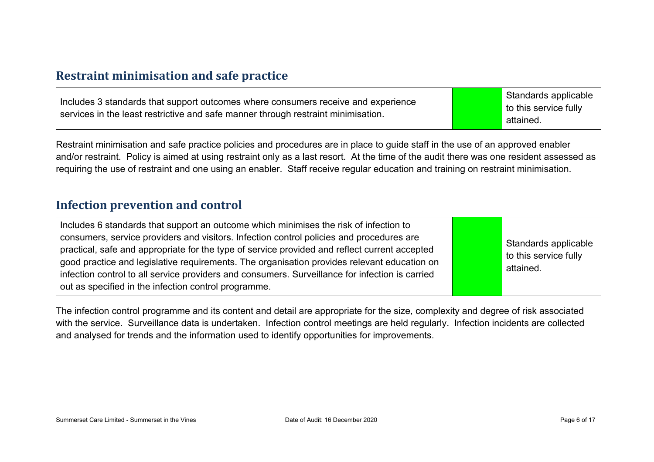#### **Restraint minimisation and safe practice**

| Includes 3 standards that support outcomes where consumers receive and experience<br>services in the least restrictive and safe manner through restraint minimisation. | Standards applicable<br>$\vert$ to this service fully<br>attained. |
|------------------------------------------------------------------------------------------------------------------------------------------------------------------------|--------------------------------------------------------------------|
|------------------------------------------------------------------------------------------------------------------------------------------------------------------------|--------------------------------------------------------------------|

Restraint minimisation and safe practice policies and procedures are in place to guide staff in the use of an approved enabler and/or restraint. Policy is aimed at using restraint only as a last resort. At the time of the audit there was one resident assessed as requiring the use of restraint and one using an enabler. Staff receive regular education and training on restraint minimisation.

#### **Infection prevention and control**

| Includes 6 standards that support an outcome which minimises the risk of infection to<br>consumers, service providers and visitors. Infection control policies and procedures are<br>practical, safe and appropriate for the type of service provided and reflect current accepted<br>good practice and legislative requirements. The organisation provides relevant education on<br>infection control to all service providers and consumers. Surveillance for infection is carried<br>out as specified in the infection control programme. |  | Standards applicable<br>to this service fully<br>attained. |
|----------------------------------------------------------------------------------------------------------------------------------------------------------------------------------------------------------------------------------------------------------------------------------------------------------------------------------------------------------------------------------------------------------------------------------------------------------------------------------------------------------------------------------------------|--|------------------------------------------------------------|
|----------------------------------------------------------------------------------------------------------------------------------------------------------------------------------------------------------------------------------------------------------------------------------------------------------------------------------------------------------------------------------------------------------------------------------------------------------------------------------------------------------------------------------------------|--|------------------------------------------------------------|

The infection control programme and its content and detail are appropriate for the size, complexity and degree of risk associated with the service. Surveillance data is undertaken. Infection control meetings are held regularly. Infection incidents are collected and analysed for trends and the information used to identify opportunities for improvements.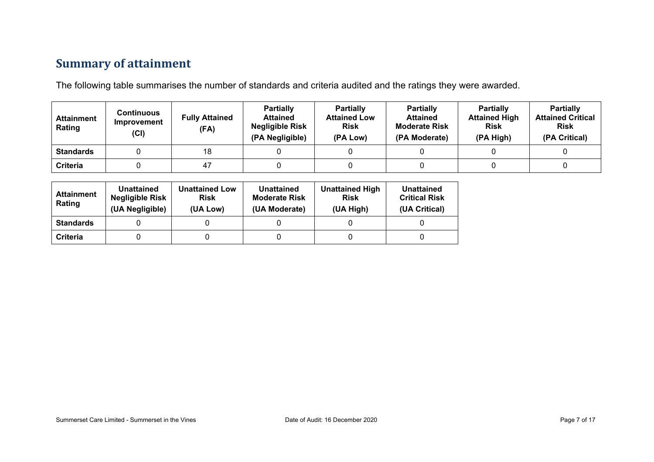## **Summary of attainment**

The following table summarises the number of standards and criteria audited and the ratings they were awarded.

| <b>Attainment</b><br>Rating | Continuous<br>Improvement<br>(CI) | <b>Fully Attained</b><br>(FA) | <b>Partially</b><br><b>Attained</b><br><b>Negligible Risk</b><br>(PA Negligible) | <b>Partially</b><br><b>Attained Low</b><br><b>Risk</b><br>(PA Low) | <b>Partially</b><br><b>Attained</b><br><b>Moderate Risk</b><br>(PA Moderate) | <b>Partially</b><br><b>Attained High</b><br><b>Risk</b><br>(PA High) | <b>Partially</b><br><b>Attained Critical</b><br><b>Risk</b><br>(PA Critical) |
|-----------------------------|-----------------------------------|-------------------------------|----------------------------------------------------------------------------------|--------------------------------------------------------------------|------------------------------------------------------------------------------|----------------------------------------------------------------------|------------------------------------------------------------------------------|
| <b>Standards</b>            |                                   | 18                            |                                                                                  |                                                                    |                                                                              |                                                                      |                                                                              |
| <b>Criteria</b>             |                                   | 47                            |                                                                                  |                                                                    |                                                                              |                                                                      |                                                                              |

| <b>Attainment</b><br>Rating | <b>Unattained</b><br><b>Negligible Risk</b><br>(UA Negligible) | <b>Unattained Low</b><br><b>Risk</b><br>(UA Low) | <b>Unattained</b><br><b>Moderate Risk</b><br>(UA Moderate) | <b>Unattained High</b><br><b>Risk</b><br>(UA High) | Unattained<br><b>Critical Risk</b><br>(UA Critical) |
|-----------------------------|----------------------------------------------------------------|--------------------------------------------------|------------------------------------------------------------|----------------------------------------------------|-----------------------------------------------------|
| <b>Standards</b>            |                                                                |                                                  |                                                            |                                                    |                                                     |
| Criteria                    |                                                                |                                                  |                                                            |                                                    |                                                     |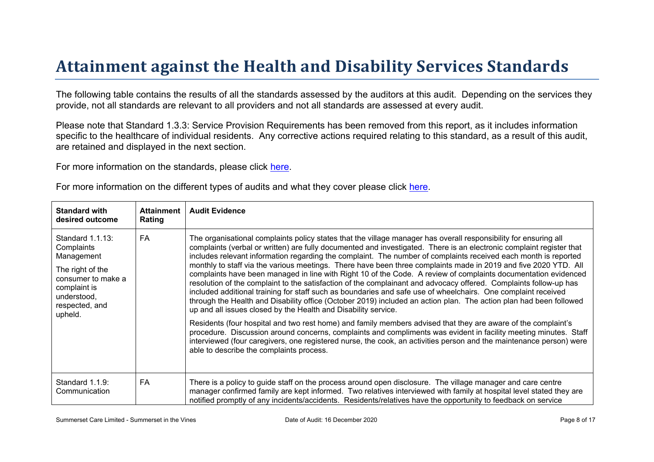# Attainment against the Health and Disability Ser vices Standar ds

The following table contains the results of all the standards assessed by the auditors at this audit. Depending on the services they provide, not all standards are relevant to all providers and not all standards are assessed at every audit.

Please note that Standard 1.3.3: Service Provision Requirements has been removed from this report, as it includes information specific to the healthcare of individual residents. Any corrective actions required relating to this standard, as a result of this audit. are retained and displayed in the next section.

For more information on the standards, please click [here](http://www.health.govt.nz/our-work/regulation-health-and-disability-system/certification-health-care-services/health-and-disability-services-standards).

For more information on the different types of audits and what they cover please click [here.](http://www.health.govt.nz/your-health/services-and-support/health-care-services/services-older-people/rest-home-certification-and-audits)

| Standard with<br>desired outcome                                                                                                                   | Attainment<br>Rating | Audit Evidence                                                                                                                                                                                                                                                                                                                                                                                                                                                                                                                                                                                                                                                                                                                                                                                                                                                                                                                                                                                                                                                                                                                                                                                                                                                                                                                                                                                                                         |
|----------------------------------------------------------------------------------------------------------------------------------------------------|----------------------|----------------------------------------------------------------------------------------------------------------------------------------------------------------------------------------------------------------------------------------------------------------------------------------------------------------------------------------------------------------------------------------------------------------------------------------------------------------------------------------------------------------------------------------------------------------------------------------------------------------------------------------------------------------------------------------------------------------------------------------------------------------------------------------------------------------------------------------------------------------------------------------------------------------------------------------------------------------------------------------------------------------------------------------------------------------------------------------------------------------------------------------------------------------------------------------------------------------------------------------------------------------------------------------------------------------------------------------------------------------------------------------------------------------------------------------|
| Standard 1.1.13:<br>Complaints<br>Management<br>The right of the<br>consumer to make a<br>complaint is<br>understood,<br>respected, and<br>upheld. | <b>FA</b>            | The organisational complaints policy states that the village manager has overall responsibility for ensuring all<br>complaints (verbal or written) are fully documented and investigated. There is an electronic complaint register that<br>includes relevant information regarding the complaint. The number of complaints received each month is reported<br>monthly to staff via the various meetings. There have been three complaints made in 2019 and five 2020 YTD. All<br>complaints have been managed in line with Right 10 of the Code. A review of complaints documentation evidenced<br>resolution of the complaint to the satisfaction of the complainant and advocacy offered. Complaints follow-up has<br>included additional training for staff such as boundaries and safe use of wheelchairs. One complaint received<br>through the Health and Disability office (October 2019) included an action plan. The action plan had been followed<br>up and all issues closed by the Health and Disability service.<br>Residents (four hospital and two rest home) and family members advised that they are aware of the complaint's<br>procedure. Discussion around concerns, complaints and compliments was evident in facility meeting minutes. Staff<br>interviewed (four caregivers, one registered nurse, the cook, an activities person and the maintenance person) were<br>able to describe the complaints process. |
| Standard 1.1.9:<br>Communication                                                                                                                   | FA                   | There is a policy to guide staff on the process around open disclosure. The village manager and care centre<br>manager confirmed family are kept informed. Two relatives interviewed with family at hospital level stated they are<br>notified promptly of any incidents/accidents. Residents/relatives have the opportunity to feedback on service                                                                                                                                                                                                                                                                                                                                                                                                                                                                                                                                                                                                                                                                                                                                                                                                                                                                                                                                                                                                                                                                                    |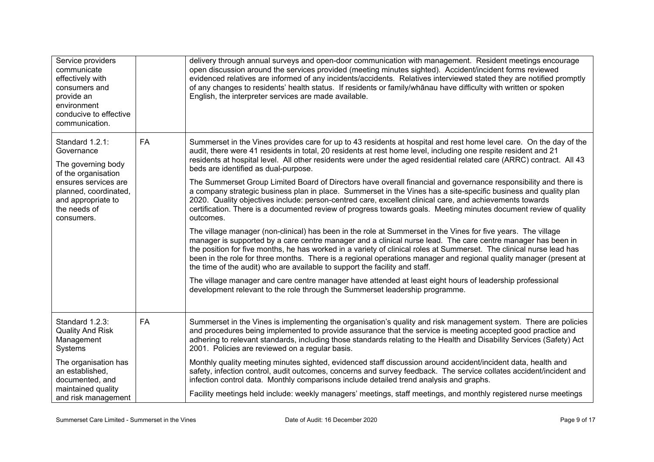| Service providers<br>communicate<br>effectively with<br>consumers and<br>provide an<br>environment<br>conducive to effective<br>communication.                                  |           | delivery through annual surveys and open-door communication with management. Resident meetings encourage<br>open discussion around the services provided (meeting minutes sighted). Accident/incident forms reviewed<br>evidenced relatives are informed of any incidents/accidents. Relatives interviewed stated they are notified promptly<br>of any changes to residents' health status. If residents or family/whanau have difficulty with written or spoken<br>English, the interpreter services are made available.                                                                                                                                                                                                                                                                                                                                                                                                                                                                                                                                                                                                                                                                                                                                                                                                                                                                                                                                                                                                                                                                                                                                |
|---------------------------------------------------------------------------------------------------------------------------------------------------------------------------------|-----------|----------------------------------------------------------------------------------------------------------------------------------------------------------------------------------------------------------------------------------------------------------------------------------------------------------------------------------------------------------------------------------------------------------------------------------------------------------------------------------------------------------------------------------------------------------------------------------------------------------------------------------------------------------------------------------------------------------------------------------------------------------------------------------------------------------------------------------------------------------------------------------------------------------------------------------------------------------------------------------------------------------------------------------------------------------------------------------------------------------------------------------------------------------------------------------------------------------------------------------------------------------------------------------------------------------------------------------------------------------------------------------------------------------------------------------------------------------------------------------------------------------------------------------------------------------------------------------------------------------------------------------------------------------|
| Standard 1.2.1:<br>Governance<br>The governing body<br>of the organisation<br>ensures services are<br>planned, coordinated,<br>and appropriate to<br>the needs of<br>consumers. | <b>FA</b> | Summerset in the Vines provides care for up to 43 residents at hospital and rest home level care. On the day of the<br>audit, there were 41 residents in total, 20 residents at rest home level, including one respite resident and 21<br>residents at hospital level. All other residents were under the aged residential related care (ARRC) contract. All 43<br>beds are identified as dual-purpose.<br>The Summerset Group Limited Board of Directors have overall financial and governance responsibility and there is<br>a company strategic business plan in place. Summerset in the Vines has a site-specific business and quality plan<br>2020. Quality objectives include: person-centred care, excellent clinical care, and achievements towards<br>certification. There is a documented review of progress towards goals. Meeting minutes document review of quality<br>outcomes.<br>The village manager (non-clinical) has been in the role at Summerset in the Vines for five years. The village<br>manager is supported by a care centre manager and a clinical nurse lead. The care centre manager has been in<br>the position for five months, he has worked in a variety of clinical roles at Summerset. The clinical nurse lead has<br>been in the role for three months. There is a regional operations manager and regional quality manager (present at<br>the time of the audit) who are available to support the facility and staff.<br>The village manager and care centre manager have attended at least eight hours of leadership professional<br>development relevant to the role through the Summerset leadership programme. |
| Standard 1.2.3:<br><b>Quality And Risk</b><br>Management<br>Systems                                                                                                             | <b>FA</b> | Summerset in the Vines is implementing the organisation's quality and risk management system. There are policies<br>and procedures being implemented to provide assurance that the service is meeting accepted good practice and<br>adhering to relevant standards, including those standards relating to the Health and Disability Services (Safety) Act<br>2001. Policies are reviewed on a regular basis.                                                                                                                                                                                                                                                                                                                                                                                                                                                                                                                                                                                                                                                                                                                                                                                                                                                                                                                                                                                                                                                                                                                                                                                                                                             |
| The organisation has<br>an established,<br>documented, and<br>maintained quality                                                                                                |           | Monthly quality meeting minutes sighted, evidenced staff discussion around accident/incident data, health and<br>safety, infection control, audit outcomes, concerns and survey feedback. The service collates accident/incident and<br>infection control data. Monthly comparisons include detailed trend analysis and graphs.                                                                                                                                                                                                                                                                                                                                                                                                                                                                                                                                                                                                                                                                                                                                                                                                                                                                                                                                                                                                                                                                                                                                                                                                                                                                                                                          |
| and risk management                                                                                                                                                             |           | Facility meetings held include: weekly managers' meetings, staff meetings, and monthly registered nurse meetings                                                                                                                                                                                                                                                                                                                                                                                                                                                                                                                                                                                                                                                                                                                                                                                                                                                                                                                                                                                                                                                                                                                                                                                                                                                                                                                                                                                                                                                                                                                                         |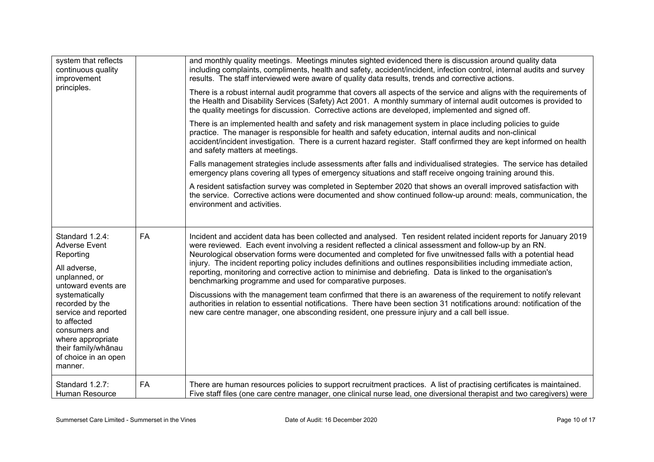| system that reflects<br>continuous quality<br>improvement<br>principles.                                                                                                                                                                                                                 |           | and monthly quality meetings. Meetings minutes sighted evidenced there is discussion around quality data<br>including complaints, compliments, health and safety, accident/incident, infection control, internal audits and survey<br>results. The staff interviewed were aware of quality data results, trends and corrective actions.<br>There is a robust internal audit programme that covers all aspects of the service and aligns with the requirements of<br>the Health and Disability Services (Safety) Act 2001. A monthly summary of internal audit outcomes is provided to<br>the quality meetings for discussion. Corrective actions are developed, implemented and signed off.<br>There is an implemented health and safety and risk management system in place including policies to guide<br>practice. The manager is responsible for health and safety education, internal audits and non-clinical<br>accident/incident investigation. There is a current hazard register. Staff confirmed they are kept informed on health<br>and safety matters at meetings.<br>Falls management strategies include assessments after falls and individualised strategies. The service has detailed<br>emergency plans covering all types of emergency situations and staff receive ongoing training around this.<br>A resident satisfaction survey was completed in September 2020 that shows an overall improved satisfaction with<br>the service. Corrective actions were documented and show continued follow-up around: meals, communication, the<br>environment and activities. |
|------------------------------------------------------------------------------------------------------------------------------------------------------------------------------------------------------------------------------------------------------------------------------------------|-----------|-----------------------------------------------------------------------------------------------------------------------------------------------------------------------------------------------------------------------------------------------------------------------------------------------------------------------------------------------------------------------------------------------------------------------------------------------------------------------------------------------------------------------------------------------------------------------------------------------------------------------------------------------------------------------------------------------------------------------------------------------------------------------------------------------------------------------------------------------------------------------------------------------------------------------------------------------------------------------------------------------------------------------------------------------------------------------------------------------------------------------------------------------------------------------------------------------------------------------------------------------------------------------------------------------------------------------------------------------------------------------------------------------------------------------------------------------------------------------------------------------------------------------------------------------------------------------------------------|
| Standard 1.2.4:<br><b>Adverse Event</b><br>Reporting<br>All adverse,<br>unplanned, or<br>untoward events are<br>systematically<br>recorded by the<br>service and reported<br>to affected<br>consumers and<br>where appropriate<br>their family/whānau<br>of choice in an open<br>manner. | <b>FA</b> | Incident and accident data has been collected and analysed. Ten resident related incident reports for January 2019<br>were reviewed. Each event involving a resident reflected a clinical assessment and follow-up by an RN.<br>Neurological observation forms were documented and completed for five unwitnessed falls with a potential head<br>injury. The incident reporting policy includes definitions and outlines responsibilities including immediate action,<br>reporting, monitoring and corrective action to minimise and debriefing. Data is linked to the organisation's<br>benchmarking programme and used for comparative purposes.<br>Discussions with the management team confirmed that there is an awareness of the requirement to notify relevant<br>authorities in relation to essential notifications. There have been section 31 notifications around: notification of the<br>new care centre manager, one absconding resident, one pressure injury and a call bell issue.                                                                                                                                                                                                                                                                                                                                                                                                                                                                                                                                                                                       |
| Standard 1.2.7:<br>Human Resource                                                                                                                                                                                                                                                        | <b>FA</b> | There are human resources policies to support recruitment practices. A list of practising certificates is maintained.<br>Five staff files (one care centre manager, one clinical nurse lead, one diversional therapist and two caregivers) were                                                                                                                                                                                                                                                                                                                                                                                                                                                                                                                                                                                                                                                                                                                                                                                                                                                                                                                                                                                                                                                                                                                                                                                                                                                                                                                                         |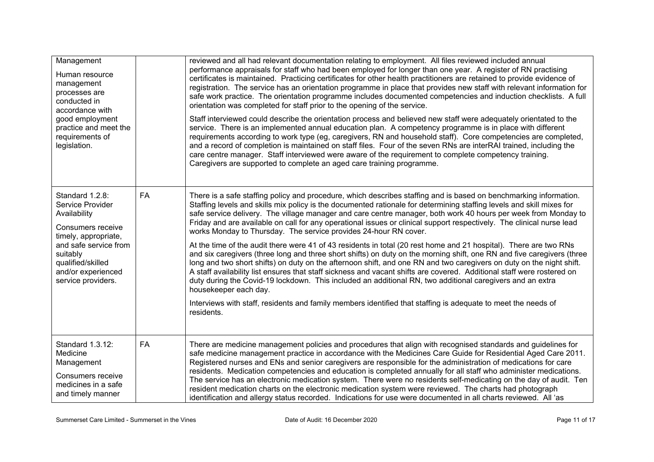| Management<br>Human resource<br>management<br>processes are<br>conducted in<br>accordance with<br>good employment<br>practice and meet the<br>requirements of<br>legislation.                          |    | reviewed and all had relevant documentation relating to employment. All files reviewed included annual<br>performance appraisals for staff who had been employed for longer than one year. A register of RN practising<br>certificates is maintained. Practicing certificates for other health practitioners are retained to provide evidence of<br>registration. The service has an orientation programme in place that provides new staff with relevant information for<br>safe work practice. The orientation programme includes documented competencies and induction checklists. A full<br>orientation was completed for staff prior to the opening of the service.<br>Staff interviewed could describe the orientation process and believed new staff were adequately orientated to the<br>service. There is an implemented annual education plan. A competency programme is in place with different<br>requirements according to work type (eg, caregivers, RN and household staff). Core competencies are completed,<br>and a record of completion is maintained on staff files. Four of the seven RNs are interRAI trained, including the<br>care centre manager. Staff interviewed were aware of the requirement to complete competency training.<br>Caregivers are supported to complete an aged care training programme. |
|--------------------------------------------------------------------------------------------------------------------------------------------------------------------------------------------------------|----|--------------------------------------------------------------------------------------------------------------------------------------------------------------------------------------------------------------------------------------------------------------------------------------------------------------------------------------------------------------------------------------------------------------------------------------------------------------------------------------------------------------------------------------------------------------------------------------------------------------------------------------------------------------------------------------------------------------------------------------------------------------------------------------------------------------------------------------------------------------------------------------------------------------------------------------------------------------------------------------------------------------------------------------------------------------------------------------------------------------------------------------------------------------------------------------------------------------------------------------------------------------------------------------------------------------------------------------|
| Standard 1.2.8:<br>Service Provider<br>Availability<br>Consumers receive<br>timely, appropriate,<br>and safe service from<br>suitably<br>qualified/skilled<br>and/or experienced<br>service providers. | FA | There is a safe staffing policy and procedure, which describes staffing and is based on benchmarking information.<br>Staffing levels and skills mix policy is the documented rationale for determining staffing levels and skill mixes for<br>safe service delivery. The village manager and care centre manager, both work 40 hours per week from Monday to<br>Friday and are available on call for any operational issues or clinical support respectively. The clinical nurse lead<br>works Monday to Thursday. The service provides 24-hour RN cover.<br>At the time of the audit there were 41 of 43 residents in total (20 rest home and 21 hospital). There are two RNs<br>and six caregivers (three long and three short shifts) on duty on the morning shift, one RN and five caregivers (three<br>long and two short shifts) on duty on the afternoon shift, and one RN and two caregivers on duty on the night shift.<br>A staff availability list ensures that staff sickness and vacant shifts are covered. Additional staff were rostered on<br>duty during the Covid-19 lockdown. This included an additional RN, two additional caregivers and an extra<br>housekeeper each day.<br>Interviews with staff, residents and family members identified that staffing is adequate to meet the needs of<br>residents.      |
| Standard 1.3.12:<br>Medicine<br>Management<br>Consumers receive<br>medicines in a safe<br>and timely manner                                                                                            | FA | There are medicine management policies and procedures that align with recognised standards and guidelines for<br>safe medicine management practice in accordance with the Medicines Care Guide for Residential Aged Care 2011.<br>Registered nurses and ENs and senior caregivers are responsible for the administration of medications for care<br>residents. Medication competencies and education is completed annually for all staff who administer medications.<br>The service has an electronic medication system. There were no residents self-medicating on the day of audit. Ten<br>resident medication charts on the electronic medication system were reviewed. The charts had photograph<br>identification and allergy status recorded. Indications for use were documented in all charts reviewed. All 'as                                                                                                                                                                                                                                                                                                                                                                                                                                                                                                              |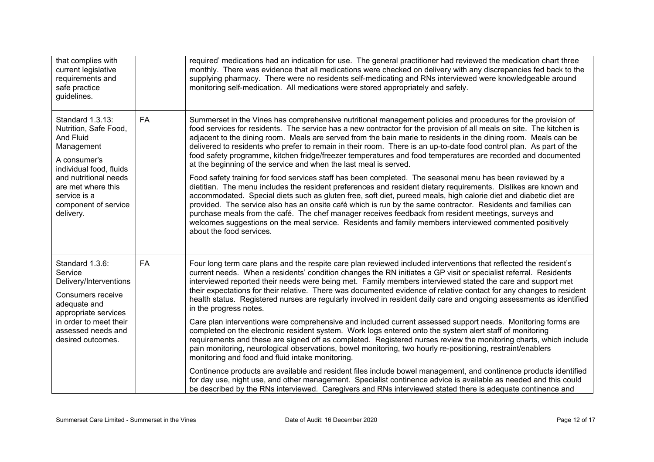| that complies with<br>current legislative<br>requirements and<br>safe practice<br>guidelines.                                                                                                                              |           | required' medications had an indication for use. The general practitioner had reviewed the medication chart three<br>monthly. There was evidence that all medications were checked on delivery with any discrepancies fed back to the<br>supplying pharmacy. There were no residents self-medicating and RNs interviewed were knowledgeable around<br>monitoring self-medication. All medications were stored appropriately and safely.                                                                                                                                                                                                                                                                                                                                                                                                                                                                                                                                                                                                                                                                                                                                                                                                                                                                                                                                                                                                                                                                    |
|----------------------------------------------------------------------------------------------------------------------------------------------------------------------------------------------------------------------------|-----------|------------------------------------------------------------------------------------------------------------------------------------------------------------------------------------------------------------------------------------------------------------------------------------------------------------------------------------------------------------------------------------------------------------------------------------------------------------------------------------------------------------------------------------------------------------------------------------------------------------------------------------------------------------------------------------------------------------------------------------------------------------------------------------------------------------------------------------------------------------------------------------------------------------------------------------------------------------------------------------------------------------------------------------------------------------------------------------------------------------------------------------------------------------------------------------------------------------------------------------------------------------------------------------------------------------------------------------------------------------------------------------------------------------------------------------------------------------------------------------------------------------|
| Standard 1.3.13:<br>Nutrition, Safe Food,<br><b>And Fluid</b><br>Management<br>A consumer's<br>individual food, fluids<br>and nutritional needs<br>are met where this<br>service is a<br>component of service<br>delivery. | <b>FA</b> | Summerset in the Vines has comprehensive nutritional management policies and procedures for the provision of<br>food services for residents. The service has a new contractor for the provision of all meals on site. The kitchen is<br>adjacent to the dining room. Meals are served from the bain marie to residents in the dining room. Meals can be<br>delivered to residents who prefer to remain in their room. There is an up-to-date food control plan. As part of the<br>food safety programme, kitchen fridge/freezer temperatures and food temperatures are recorded and documented<br>at the beginning of the service and when the last meal is served.<br>Food safety training for food services staff has been completed. The seasonal menu has been reviewed by a<br>dietitian. The menu includes the resident preferences and resident dietary requirements. Dislikes are known and<br>accommodated. Special diets such as gluten free, soft diet, pureed meals, high calorie diet and diabetic diet are<br>provided. The service also has an onsite café which is run by the same contractor. Residents and families can<br>purchase meals from the café. The chef manager receives feedback from resident meetings, surveys and<br>welcomes suggestions on the meal service. Residents and family members interviewed commented positively<br>about the food services.                                                                                                                   |
| Standard 1.3.6:<br>Service<br>Delivery/Interventions<br>Consumers receive<br>adequate and<br>appropriate services<br>in order to meet their<br>assessed needs and<br>desired outcomes.                                     | <b>FA</b> | Four long term care plans and the respite care plan reviewed included interventions that reflected the resident's<br>current needs. When a residents' condition changes the RN initiates a GP visit or specialist referral. Residents<br>interviewed reported their needs were being met. Family members interviewed stated the care and support met<br>their expectations for their relative. There was documented evidence of relative contact for any changes to resident<br>health status. Registered nurses are regularly involved in resident daily care and ongoing assessments as identified<br>in the progress notes.<br>Care plan interventions were comprehensive and included current assessed support needs. Monitoring forms are<br>completed on the electronic resident system. Work logs entered onto the system alert staff of monitoring<br>requirements and these are signed off as completed. Registered nurses review the monitoring charts, which include<br>pain monitoring, neurological observations, bowel monitoring, two hourly re-positioning, restraint/enablers<br>monitoring and food and fluid intake monitoring.<br>Continence products are available and resident files include bowel management, and continence products identified<br>for day use, night use, and other management. Specialist continence advice is available as needed and this could<br>be described by the RNs interviewed. Caregivers and RNs interviewed stated there is adequate continence and |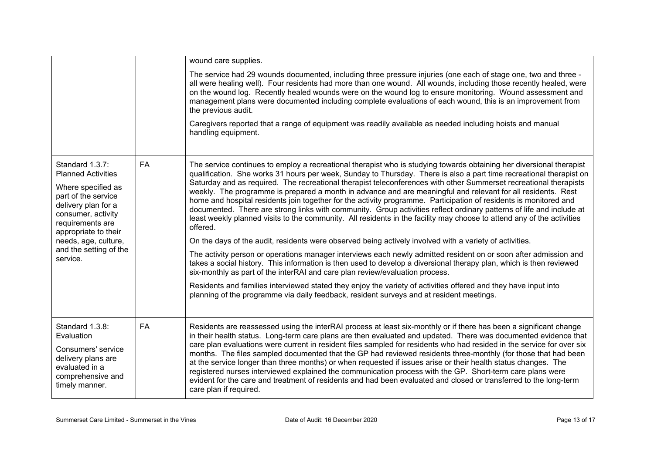|                                                                                                                                                                                                                                                  |    | wound care supplies.                                                                                                                                                                                                                                                                                                                                                                                                                                                                                                                                                                                                                                                                                                                                                                                                                                                                                                                                                                                                                                                                                                                                                                                                                                                                                                                                                                                                                                                                                                     |
|--------------------------------------------------------------------------------------------------------------------------------------------------------------------------------------------------------------------------------------------------|----|--------------------------------------------------------------------------------------------------------------------------------------------------------------------------------------------------------------------------------------------------------------------------------------------------------------------------------------------------------------------------------------------------------------------------------------------------------------------------------------------------------------------------------------------------------------------------------------------------------------------------------------------------------------------------------------------------------------------------------------------------------------------------------------------------------------------------------------------------------------------------------------------------------------------------------------------------------------------------------------------------------------------------------------------------------------------------------------------------------------------------------------------------------------------------------------------------------------------------------------------------------------------------------------------------------------------------------------------------------------------------------------------------------------------------------------------------------------------------------------------------------------------------|
|                                                                                                                                                                                                                                                  |    | The service had 29 wounds documented, including three pressure injuries (one each of stage one, two and three -<br>all were healing well). Four residents had more than one wound. All wounds, including those recently healed, were<br>on the wound log. Recently healed wounds were on the wound log to ensure monitoring. Wound assessment and<br>management plans were documented including complete evaluations of each wound, this is an improvement from<br>the previous audit.                                                                                                                                                                                                                                                                                                                                                                                                                                                                                                                                                                                                                                                                                                                                                                                                                                                                                                                                                                                                                                   |
|                                                                                                                                                                                                                                                  |    | Caregivers reported that a range of equipment was readily available as needed including hoists and manual<br>handling equipment.                                                                                                                                                                                                                                                                                                                                                                                                                                                                                                                                                                                                                                                                                                                                                                                                                                                                                                                                                                                                                                                                                                                                                                                                                                                                                                                                                                                         |
| Standard 1.3.7:<br><b>Planned Activities</b><br>Where specified as<br>part of the service<br>delivery plan for a<br>consumer, activity<br>requirements are<br>appropriate to their<br>needs, age, culture,<br>and the setting of the<br>service. | FA | The service continues to employ a recreational therapist who is studying towards obtaining her diversional therapist<br>qualification. She works 31 hours per week, Sunday to Thursday. There is also a part time recreational therapist on<br>Saturday and as required. The recreational therapist teleconferences with other Summerset recreational therapists<br>weekly. The programme is prepared a month in advance and are meaningful and relevant for all residents. Rest<br>home and hospital residents join together for the activity programme. Participation of residents is monitored and<br>documented. There are strong links with community. Group activities reflect ordinary patterns of life and include at<br>least weekly planned visits to the community. All residents in the facility may choose to attend any of the activities<br>offered.<br>On the days of the audit, residents were observed being actively involved with a variety of activities.<br>The activity person or operations manager interviews each newly admitted resident on or soon after admission and<br>takes a social history. This information is then used to develop a diversional therapy plan, which is then reviewed<br>six-monthly as part of the interRAI and care plan review/evaluation process.<br>Residents and families interviewed stated they enjoy the variety of activities offered and they have input into<br>planning of the programme via daily feedback, resident surveys and at resident meetings. |
| Standard 1.3.8:<br>Evaluation<br>Consumers' service<br>delivery plans are<br>evaluated in a<br>comprehensive and<br>timely manner.                                                                                                               | FA | Residents are reassessed using the interRAI process at least six-monthly or if there has been a significant change<br>in their health status. Long-term care plans are then evaluated and updated. There was documented evidence that<br>care plan evaluations were current in resident files sampled for residents who had resided in the service for over six<br>months. The files sampled documented that the GP had reviewed residents three-monthly (for those that had been<br>at the service longer than three months) or when requested if issues arise or their health status changes. The<br>registered nurses interviewed explained the communication process with the GP. Short-term care plans were<br>evident for the care and treatment of residents and had been evaluated and closed or transferred to the long-term<br>care plan if required.                                                                                                                                                                                                                                                                                                                                                                                                                                                                                                                                                                                                                                                          |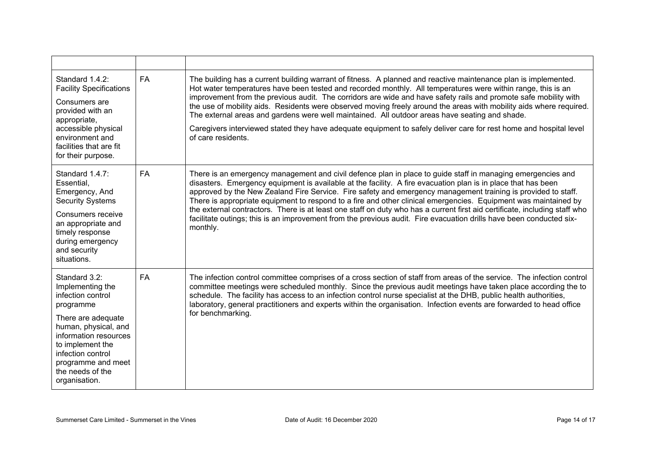| Standard 1.4.2:<br><b>Facility Specifications</b><br>Consumers are<br>provided with an<br>appropriate,<br>accessible physical<br>environment and<br>facilities that are fit<br>for their purpose.                                              | <b>FA</b> | The building has a current building warrant of fitness. A planned and reactive maintenance plan is implemented.<br>Hot water temperatures have been tested and recorded monthly. All temperatures were within range, this is an<br>improvement from the previous audit. The corridors are wide and have safety rails and promote safe mobility with<br>the use of mobility aids. Residents were observed moving freely around the areas with mobility aids where required.<br>The external areas and gardens were well maintained. All outdoor areas have seating and shade.<br>Caregivers interviewed stated they have adequate equipment to safely deliver care for rest home and hospital level<br>of care residents.          |
|------------------------------------------------------------------------------------------------------------------------------------------------------------------------------------------------------------------------------------------------|-----------|-----------------------------------------------------------------------------------------------------------------------------------------------------------------------------------------------------------------------------------------------------------------------------------------------------------------------------------------------------------------------------------------------------------------------------------------------------------------------------------------------------------------------------------------------------------------------------------------------------------------------------------------------------------------------------------------------------------------------------------|
| Standard 1.4.7:<br>Essential,<br>Emergency, And<br><b>Security Systems</b><br>Consumers receive<br>an appropriate and<br>timely response<br>during emergency<br>and security<br>situations.                                                    | FA        | There is an emergency management and civil defence plan in place to guide staff in managing emergencies and<br>disasters. Emergency equipment is available at the facility. A fire evacuation plan is in place that has been<br>approved by the New Zealand Fire Service. Fire safety and emergency management training is provided to staff.<br>There is appropriate equipment to respond to a fire and other clinical emergencies. Equipment was maintained by<br>the external contractors. There is at least one staff on duty who has a current first aid certificate, including staff who<br>facilitate outings; this is an improvement from the previous audit. Fire evacuation drills have been conducted six-<br>monthly. |
| Standard 3.2:<br>Implementing the<br>infection control<br>programme<br>There are adequate<br>human, physical, and<br>information resources<br>to implement the<br>infection control<br>programme and meet<br>the needs of the<br>organisation. | <b>FA</b> | The infection control committee comprises of a cross section of staff from areas of the service. The infection control<br>committee meetings were scheduled monthly. Since the previous audit meetings have taken place according the to<br>schedule. The facility has access to an infection control nurse specialist at the DHB, public health authorities,<br>laboratory, general practitioners and experts within the organisation. Infection events are forwarded to head office<br>for benchmarking.                                                                                                                                                                                                                        |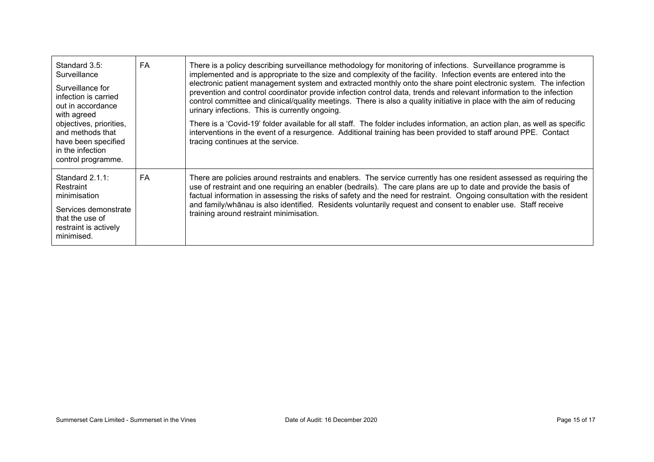| Standard 3.5:<br>Surveillance<br>Surveillance for<br>infection is carried<br>out in accordance<br>with agreed<br>objectives, priorities,<br>and methods that<br>have been specified<br>in the infection<br>control programme. | <b>FA</b> | There is a policy describing surveillance methodology for monitoring of infections. Surveillance programme is<br>implemented and is appropriate to the size and complexity of the facility. Infection events are entered into the<br>electronic patient management system and extracted monthly onto the share point electronic system. The infection<br>prevention and control coordinator provide infection control data, trends and relevant information to the infection<br>control committee and clinical/quality meetings. There is also a quality initiative in place with the aim of reducing<br>urinary infections. This is currently ongoing.<br>There is a 'Covid-19' folder available for all staff. The folder includes information, an action plan, as well as specific<br>interventions in the event of a resurgence. Additional training has been provided to staff around PPE. Contact<br>tracing continues at the service. |
|-------------------------------------------------------------------------------------------------------------------------------------------------------------------------------------------------------------------------------|-----------|----------------------------------------------------------------------------------------------------------------------------------------------------------------------------------------------------------------------------------------------------------------------------------------------------------------------------------------------------------------------------------------------------------------------------------------------------------------------------------------------------------------------------------------------------------------------------------------------------------------------------------------------------------------------------------------------------------------------------------------------------------------------------------------------------------------------------------------------------------------------------------------------------------------------------------------------|
| Standard $2.1.1$ :<br>Restraint<br>minimisation<br>Services demonstrate<br>that the use of<br>restraint is actively<br>minimised.                                                                                             | <b>FA</b> | There are policies around restraints and enablers. The service currently has one resident assessed as requiring the<br>use of restraint and one requiring an enabler (bedrails). The care plans are up to date and provide the basis of<br>factual information in assessing the risks of safety and the need for restraint. Ongoing consultation with the resident<br>and family/whānau is also identified. Residents voluntarily request and consent to enabler use. Staff receive<br>training around restraint minimisation.                                                                                                                                                                                                                                                                                                                                                                                                               |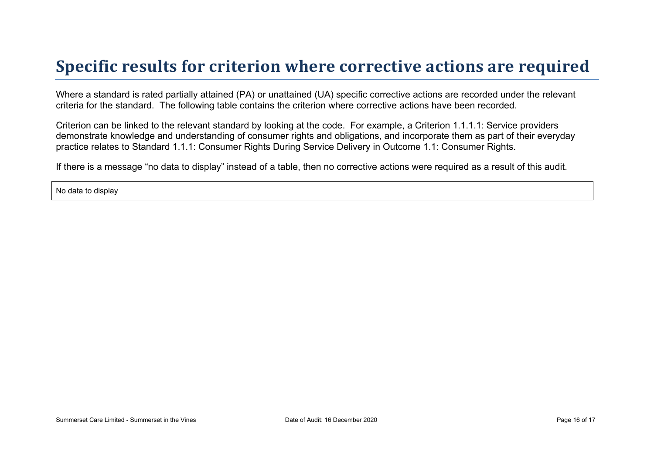## **Specific results for criterion where corrective actions are required**

Where a standard is rated partially attained (PA) or unattained (UA) specific corrective actions are recorded under the relevant criteria for the standard. The following table contains the criterion where corrective actions have been recorded.

Criterion can be linked to the relevant standard by looking at the code. For example, a Criterion 1.1.1.1: Service providers demonstrate knowledge and understanding of consumer rights and obligations, and incorporate them as part of their everyday practice relates to Standard 1.1.1: Consumer Rights During Service Delivery in Outcome 1.1: Consumer Rights.

If there is a message "no data to display" instead of a table, then no corrective actions were required as a result of this audit.

No data to display